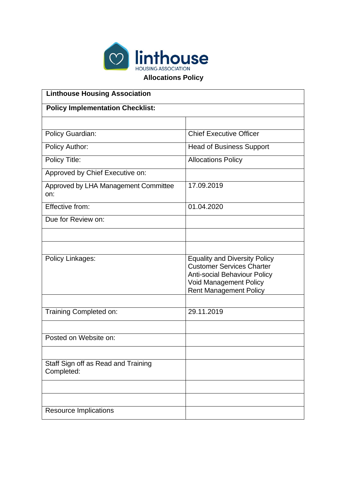

**Allocations Policy**

| <b>Linthouse Housing Association</b>              |                                                                                                                                                                                   |  |  |  |  |
|---------------------------------------------------|-----------------------------------------------------------------------------------------------------------------------------------------------------------------------------------|--|--|--|--|
| <b>Policy Implementation Checklist:</b>           |                                                                                                                                                                                   |  |  |  |  |
|                                                   |                                                                                                                                                                                   |  |  |  |  |
| Policy Guardian:                                  | <b>Chief Executive Officer</b>                                                                                                                                                    |  |  |  |  |
| Policy Author:                                    | <b>Head of Business Support</b>                                                                                                                                                   |  |  |  |  |
| Policy Title:                                     | <b>Allocations Policy</b>                                                                                                                                                         |  |  |  |  |
| Approved by Chief Executive on:                   |                                                                                                                                                                                   |  |  |  |  |
| Approved by LHA Management Committee<br>on:       | 17.09.2019                                                                                                                                                                        |  |  |  |  |
| Effective from:                                   | 01.04.2020                                                                                                                                                                        |  |  |  |  |
| Due for Review on:                                |                                                                                                                                                                                   |  |  |  |  |
|                                                   |                                                                                                                                                                                   |  |  |  |  |
|                                                   |                                                                                                                                                                                   |  |  |  |  |
| Policy Linkages:                                  | <b>Equality and Diversity Policy</b><br><b>Customer Services Charter</b><br><b>Anti-social Behaviour Policy</b><br><b>Void Management Policy</b><br><b>Rent Management Policy</b> |  |  |  |  |
|                                                   |                                                                                                                                                                                   |  |  |  |  |
| Training Completed on:                            | 29.11.2019                                                                                                                                                                        |  |  |  |  |
| Posted on Website on:                             |                                                                                                                                                                                   |  |  |  |  |
|                                                   |                                                                                                                                                                                   |  |  |  |  |
| Staff Sign off as Read and Training<br>Completed: |                                                                                                                                                                                   |  |  |  |  |
|                                                   |                                                                                                                                                                                   |  |  |  |  |
|                                                   |                                                                                                                                                                                   |  |  |  |  |
| <b>Resource Implications</b>                      |                                                                                                                                                                                   |  |  |  |  |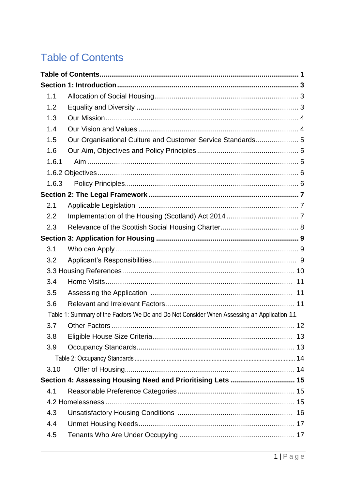# **Table of Contents**

| 1.1   |                                                                                            |  |
|-------|--------------------------------------------------------------------------------------------|--|
| 1.2   |                                                                                            |  |
| 1.3   |                                                                                            |  |
| 1.4   |                                                                                            |  |
| 1.5   | Our Organisational Culture and Customer Service Standards 5                                |  |
| 1.6   |                                                                                            |  |
| 1.6.1 |                                                                                            |  |
|       |                                                                                            |  |
| 1.6.3 |                                                                                            |  |
|       |                                                                                            |  |
| 2.1   |                                                                                            |  |
| 2.2   |                                                                                            |  |
| 2.3   |                                                                                            |  |
|       |                                                                                            |  |
| 3.1   |                                                                                            |  |
| 3.2   |                                                                                            |  |
|       |                                                                                            |  |
| 3.4   |                                                                                            |  |
| 3.5   |                                                                                            |  |
| 3.6   |                                                                                            |  |
|       | Table 1: Summary of the Factors We Do and Do Not Consider When Assessing an Application 11 |  |
| 3.7   |                                                                                            |  |
| 3.8   |                                                                                            |  |
| 3.9   |                                                                                            |  |
|       |                                                                                            |  |
| 3.10  |                                                                                            |  |
|       | Section 4: Assessing Housing Need and Prioritising Lets  15                                |  |
| 4.1   |                                                                                            |  |
|       |                                                                                            |  |
| 4.3   |                                                                                            |  |
| 4.4   |                                                                                            |  |
| 4.5   |                                                                                            |  |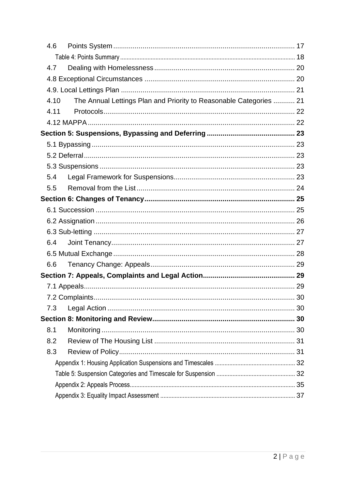| 4.6 |      |                                                                    |  |
|-----|------|--------------------------------------------------------------------|--|
|     |      |                                                                    |  |
| 4.7 |      |                                                                    |  |
|     |      |                                                                    |  |
|     |      |                                                                    |  |
|     | 4.10 | The Annual Lettings Plan and Priority to Reasonable Categories  21 |  |
|     | 4.11 |                                                                    |  |
|     |      |                                                                    |  |
|     |      |                                                                    |  |
|     |      |                                                                    |  |
|     |      |                                                                    |  |
|     |      |                                                                    |  |
| 5.4 |      |                                                                    |  |
| 5.5 |      |                                                                    |  |
|     |      |                                                                    |  |
|     |      |                                                                    |  |
|     |      |                                                                    |  |
|     |      |                                                                    |  |
| 6.4 |      |                                                                    |  |
|     |      |                                                                    |  |
| 6.6 |      |                                                                    |  |
|     |      |                                                                    |  |
|     |      |                                                                    |  |
|     |      |                                                                    |  |
| 7.3 |      |                                                                    |  |
|     |      |                                                                    |  |
| 8.1 |      |                                                                    |  |
| 8.2 |      |                                                                    |  |
| 8.3 |      |                                                                    |  |
|     |      |                                                                    |  |
|     |      |                                                                    |  |
|     |      |                                                                    |  |
|     |      |                                                                    |  |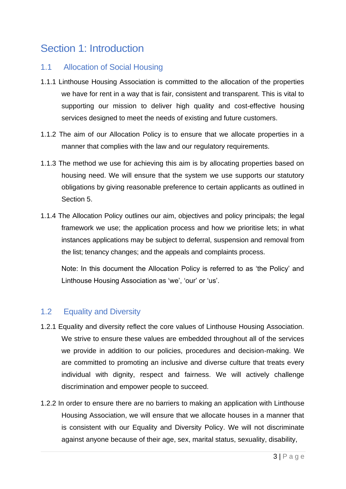# Section 1: Introduction

#### 1.1 Allocation of Social Housing

- 1.1.1 Linthouse Housing Association is committed to the allocation of the properties we have for rent in a way that is fair, consistent and transparent. This is vital to supporting our mission to deliver high quality and cost-effective housing services designed to meet the needs of existing and future customers.
- 1.1.2 The aim of our Allocation Policy is to ensure that we allocate properties in a manner that complies with the law and our regulatory requirements.
- 1.1.3 The method we use for achieving this aim is by allocating properties based on housing need. We will ensure that the system we use supports our statutory obligations by giving reasonable preference to certain applicants as outlined in Section 5.
- 1.1.4 The Allocation Policy outlines our aim, objectives and policy principals; the legal framework we use; the application process and how we prioritise lets; in what instances applications may be subject to deferral, suspension and removal from the list; tenancy changes; and the appeals and complaints process.

Note: In this document the Allocation Policy is referred to as 'the Policy' and Linthouse Housing Association as 'we', 'our' or 'us'.

## 1.2 Equality and Diversity

- 1.2.1 Equality and diversity reflect the core values of Linthouse Housing Association. We strive to ensure these values are embedded throughout all of the services we provide in addition to our policies, procedures and decision-making. We are committed to promoting an inclusive and diverse culture that treats every individual with dignity, respect and fairness. We will actively challenge discrimination and empower people to succeed.
- 1.2.2 In order to ensure there are no barriers to making an application with Linthouse Housing Association, we will ensure that we allocate houses in a manner that is consistent with our Equality and Diversity Policy. We will not discriminate against anyone because of their age, sex, marital status, sexuality, disability,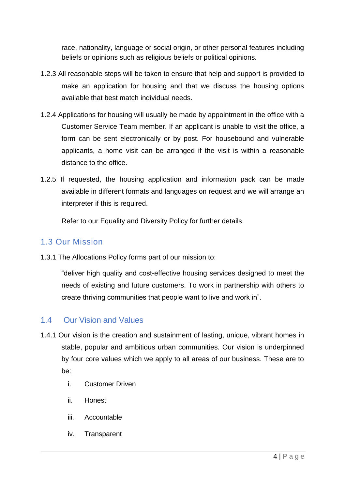race, nationality, language or social origin, or other personal features including beliefs or opinions such as religious beliefs or political opinions.

- 1.2.3 All reasonable steps will be taken to ensure that help and support is provided to make an application for housing and that we discuss the housing options available that best match individual needs.
- 1.2.4 Applications for housing will usually be made by appointment in the office with a Customer Service Team member. If an applicant is unable to visit the office, a form can be sent electronically or by post. For housebound and vulnerable applicants, a home visit can be arranged if the visit is within a reasonable distance to the office.
- 1.2.5 If requested, the housing application and information pack can be made available in different formats and languages on request and we will arrange an interpreter if this is required.

Refer to our Equality and Diversity Policy for further details.

# 1.3 Our Mission

1.3.1 The Allocations Policy forms part of our mission to:

"deliver high quality and cost-effective housing services designed to meet the needs of existing and future customers. To work in partnership with others to create thriving communities that people want to live and work in".

## 1.4 Our Vision and Values

- 1.4.1 Our vision is the creation and sustainment of lasting, unique, vibrant homes in stable, popular and ambitious urban communities. Our vision is underpinned by four core values which we apply to all areas of our business. These are to be:
	- i. Customer Driven
	- ii. Honest
	- iii. Accountable
	- iv. Transparent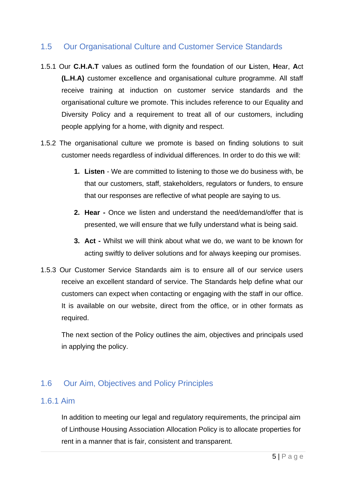## 1.5 Our Organisational Culture and Customer Service Standards

- 1.5.1 Our **C.H.A.T** values as outlined form the foundation of our **L**isten, **H**ear, **A**ct **(L.H.A)** customer excellence and organisational culture programme. All staff receive training at induction on customer service standards and the organisational culture we promote. This includes reference to our Equality and Diversity Policy and a requirement to treat all of our customers, including people applying for a home, with dignity and respect.
- 1.5.2 The organisational culture we promote is based on finding solutions to suit customer needs regardless of individual differences. In order to do this we will:
	- **1. Listen**  We are committed to listening to those we do business with, be that our customers, staff, stakeholders, regulators or funders, to ensure that our responses are reflective of what people are saying to us.
	- **2. Hear -** Once we listen and understand the need/demand/offer that is presented, we will ensure that we fully understand what is being said.
	- **3. Act -** Whilst we will think about what we do, we want to be known for acting swiftly to deliver solutions and for always keeping our promises.
- 1.5.3 Our Customer Service Standards aim is to ensure all of our service users receive an excellent standard of service. The Standards help define what our customers can expect when contacting or engaging with the staff in our office. It is available on our website, direct from the office, or in other formats as required.

The next section of the Policy outlines the aim, objectives and principals used in applying the policy.

## 1.6 Our Aim, Objectives and Policy Principles

#### 1.6.1 Aim

In addition to meeting our legal and regulatory requirements, the principal aim of Linthouse Housing Association Allocation Policy is to allocate properties for rent in a manner that is fair, consistent and transparent.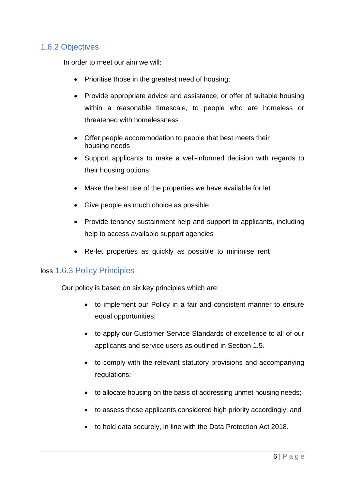#### 1.6.2 Objectives

In order to meet our aim we will:

- Prioritise those in the greatest need of housing;
- Provide appropriate advice and assistance, or offer of suitable housing within a reasonable timescale, to people who are homeless or threatened with homelessness
- Offer people accommodation to people that best meets their housing needs
- Support applicants to make a well-informed decision with regards to their housing options;
- Make the best use of the properties we have available for let
- Give people as much choice as possible
- Provide tenancy sustainment help and support to applicants, including help to access available support agencies
- Re-let properties as quickly as possible to minimise rent

#### loss 1.6.3 Policy Principles

Our policy is based on six key principles which are:

- to implement our Policy in a fair and consistent manner to ensure equal opportunities;
- to apply our Customer Service Standards of excellence to all of our applicants and service users as outlined in Section 1.5.
- to comply with the relevant statutory provisions and accompanying regulations;
- to allocate housing on the basis of addressing unmet housing needs;
- to assess those applicants considered high priority accordingly; and
- to hold data securely, in line with the Data Protection Act 2018.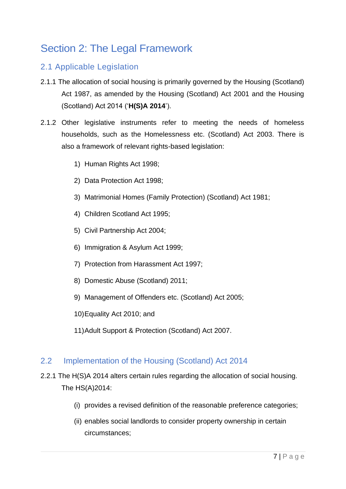# Section 2: The Legal Framework

## 2.1 Applicable Legislation

- 2.1.1 The allocation of social housing is primarily governed by the Housing (Scotland) Act 1987, as amended by the Housing (Scotland) Act 2001 and the Housing (Scotland) Act 2014 ('**H(S)A 2014**').
- 2.1.2 Other legislative instruments refer to meeting the needs of homeless households, such as the Homelessness etc. (Scotland) Act 2003. There is also a framework of relevant rights-based legislation:
	- 1) Human Rights Act 1998;
	- 2) Data Protection Act 1998;
	- 3) Matrimonial Homes (Family Protection) (Scotland) Act 1981;
	- 4) Children Scotland Act 1995;
	- 5) Civil Partnership Act 2004;
	- 6) Immigration & Asylum Act 1999;
	- 7) Protection from Harassment Act 1997;
	- 8) Domestic Abuse (Scotland) 2011;
	- 9) Management of Offenders etc. (Scotland) Act 2005;
	- 10)Equality Act 2010; and
	- 11)Adult Support & Protection (Scotland) Act 2007.

#### 2.2 Implementation of the Housing (Scotland) Act 2014

- 2.2.1 The H(S)A 2014 alters certain rules regarding the allocation of social housing. The HS(A)2014:
	- (i) provides a revised definition of the reasonable preference categories;
	- (ii) enables social landlords to consider property ownership in certain circumstances;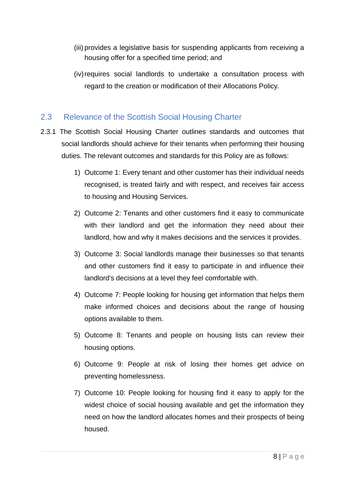- (iii) provides a legislative basis for suspending applicants from receiving a housing offer for a specified time period; and
- (iv) requires social landlords to undertake a consultation process with regard to the creation or modification of their Allocations Policy.

#### 2.3 Relevance of the Scottish Social Housing Charter

- 2.3.1 The Scottish Social Housing Charter outlines standards and outcomes that social landlords should achieve for their tenants when performing their housing duties. The relevant outcomes and standards for this Policy are as follows:
	- 1) Outcome 1: Every tenant and other customer has their individual needs recognised, is treated fairly and with respect, and receives fair access to housing and Housing Services.
	- 2) Outcome 2: Tenants and other customers find it easy to communicate with their landlord and get the information they need about their landlord, how and why it makes decisions and the services it provides.
	- 3) Outcome 3: Social landlords manage their businesses so that tenants and other customers find it easy to participate in and influence their landlord's decisions at a level they feel comfortable with.
	- 4) Outcome 7: People looking for housing get information that helps them make informed choices and decisions about the range of housing options available to them.
	- 5) Outcome 8: Tenants and people on housing lists can review their housing options.
	- 6) Outcome 9: People at risk of losing their homes get advice on preventing homelessness.
	- 7) Outcome 10: People looking for housing find it easy to apply for the widest choice of social housing available and get the information they need on how the landlord allocates homes and their prospects of being housed.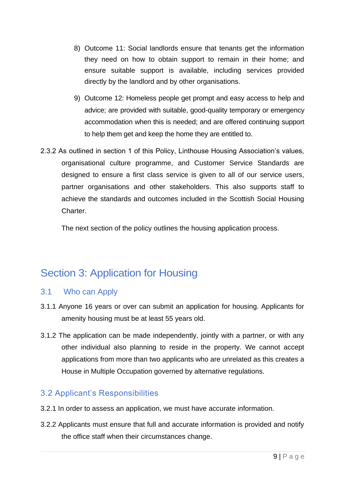- 8) Outcome 11: Social landlords ensure that tenants get the information they need on how to obtain support to remain in their home; and ensure suitable support is available, including services provided directly by the landlord and by other organisations.
- 9) Outcome 12: Homeless people get prompt and easy access to help and advice; are provided with suitable, good-quality temporary or emergency accommodation when this is needed; and are offered continuing support to help them get and keep the home they are entitled to.
- 2.3.2 As outlined in section 1 of this Policy, Linthouse Housing Association's values, organisational culture programme, and Customer Service Standards are designed to ensure a first class service is given to all of our service users, partner organisations and other stakeholders. This also supports staff to achieve the standards and outcomes included in the Scottish Social Housing Charter.

The next section of the policy outlines the housing application process.

# Section 3: Application for Housing

## 3.1 Who can Apply

- 3.1.1 Anyone 16 years or over can submit an application for housing. Applicants for amenity housing must be at least 55 years old.
- 3.1.2 The application can be made independently, jointly with a partner, or with any other individual also planning to reside in the property. We cannot accept applications from more than two applicants who are unrelated as this creates a House in Multiple Occupation governed by alternative regulations.

## 3.2 Applicant's Responsibilities

- 3.2.1 In order to assess an application, we must have accurate information.
- 3.2.2 Applicants must ensure that full and accurate information is provided and notify the office staff when their circumstances change.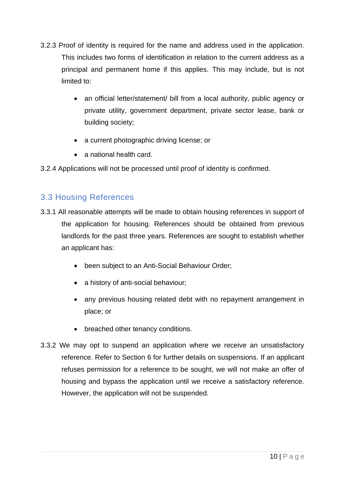- 3.2.3 Proof of identity is required for the name and address used in the application. This includes two forms of identification in relation to the current address as a principal and permanent home if this applies. This may include, but is not limited to:
	- an official letter/statement/ bill from a local authority, public agency or private utility, government department, private sector lease, bank or building society;
	- a current photographic driving license; or
	- a national health card.
- 3.2.4 Applications will not be processed until proof of identity is confirmed.

## 3.3 Housing References

- 3.3.1 All reasonable attempts will be made to obtain housing references in support of the application for housing. References should be obtained from previous landlords for the past three years. References are sought to establish whether an applicant has:
	- been subject to an Anti-Social Behaviour Order;
	- a history of anti-social behaviour;
	- any previous housing related debt with no repayment arrangement in place; or
	- breached other tenancy conditions.
- 3.3.2 We may opt to suspend an application where we receive an unsatisfactory reference. Refer to Section 6 for further details on suspensions. If an applicant refuses permission for a reference to be sought, we will not make an offer of housing and bypass the application until we receive a satisfactory reference. However, the application will not be suspended.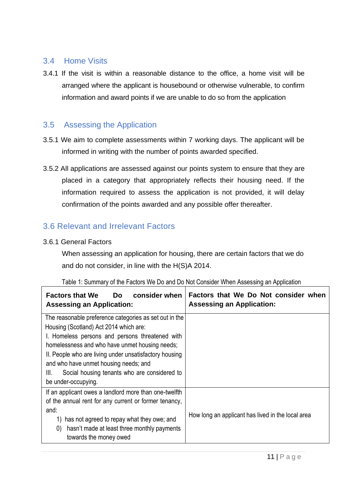## 3.4 Home Visits

3.4.1 If the visit is within a reasonable distance to the office, a home visit will be arranged where the applicant is housebound or otherwise vulnerable, to confirm information and award points if we are unable to do so from the application

## 3.5 Assessing the Application

- 3.5.1 We aim to complete assessments within 7 working days. The applicant will be informed in writing with the number of points awarded specified.
- 3.5.2 All applications are assessed against our points system to ensure that they are placed in a category that appropriately reflects their housing need. If the information required to assess the application is not provided, it will delay confirmation of the points awarded and any possible offer thereafter.

## 3.6 Relevant and Irrelevant Factors

#### 3.6.1 General Factors

When assessing an application for housing, there are certain factors that we do and do not consider, in line with the H(S)A 2014.

| consider when<br><b>Factors that We</b><br>Do.<br><b>Assessing an Application:</b>                    | Factors that We Do Not consider when<br><b>Assessing an Application:</b> |  |  |  |
|-------------------------------------------------------------------------------------------------------|--------------------------------------------------------------------------|--|--|--|
| The reasonable preference categories as set out in the                                                |                                                                          |  |  |  |
| Housing (Scotland) Act 2014 which are:                                                                |                                                                          |  |  |  |
| I. Homeless persons and persons threatened with                                                       |                                                                          |  |  |  |
| homelessness and who have unmet housing needs;                                                        |                                                                          |  |  |  |
| II. People who are living under unsatisfactory housing                                                |                                                                          |  |  |  |
| and who have unmet housing needs; and                                                                 |                                                                          |  |  |  |
| Social housing tenants who are considered to<br>III.                                                  |                                                                          |  |  |  |
| be under-occupying.                                                                                   |                                                                          |  |  |  |
| If an applicant owes a landlord more than one-twelfth                                                 |                                                                          |  |  |  |
| of the annual rent for any current or former tenancy,                                                 |                                                                          |  |  |  |
| and:                                                                                                  |                                                                          |  |  |  |
| How long an applicant has lived in the local area<br>has not agreed to repay what they owe; and<br>1) |                                                                          |  |  |  |
| hasn't made at least three monthly payments<br>$\left( 0\right)$                                      |                                                                          |  |  |  |
| towards the money owed                                                                                |                                                                          |  |  |  |

#### Table 1: Summary of the Factors We Do and Do Not Consider When Assessing an Application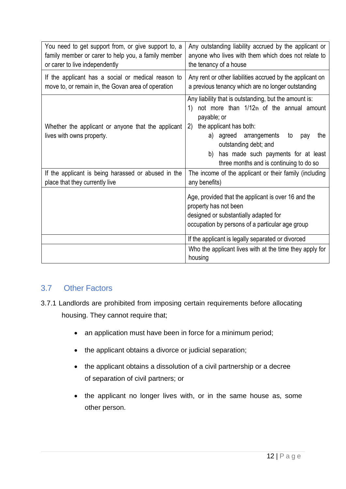| You need to get support from, or give support to, a<br>family member or carer to help you, a family member<br>or carer to live independently | Any outstanding liability accrued by the applicant or<br>anyone who lives with them which does not relate to<br>the tenancy of a house                                                                                                                                                                                   |  |  |
|----------------------------------------------------------------------------------------------------------------------------------------------|--------------------------------------------------------------------------------------------------------------------------------------------------------------------------------------------------------------------------------------------------------------------------------------------------------------------------|--|--|
| If the applicant has a social or medical reason to<br>move to, or remain in, the Govan area of operation                                     | Any rent or other liabilities accrued by the applicant on<br>a previous tenancy which are no longer outstanding                                                                                                                                                                                                          |  |  |
| Whether the applicant or anyone that the applicant<br>lives with owns property.                                                              | Any liability that is outstanding, but the amount is:<br>not more than 1/12th of the annual amount<br>1)<br>payable; or<br>the applicant has both:<br>(2)<br>a) agreed arrangements<br>to<br>the<br>pay<br>outstanding debt; and<br>has made such payments for at least<br>b)<br>three months and is continuing to do so |  |  |
| If the applicant is being harassed or abused in the<br>place that they currently live                                                        | The income of the applicant or their family (including<br>any benefits)                                                                                                                                                                                                                                                  |  |  |
|                                                                                                                                              | Age, provided that the applicant is over 16 and the<br>property has not been<br>designed or substantially adapted for<br>occupation by persons of a particular age group                                                                                                                                                 |  |  |
|                                                                                                                                              | If the applicant is legally separated or divorced                                                                                                                                                                                                                                                                        |  |  |
|                                                                                                                                              | Who the applicant lives with at the time they apply for<br>housing                                                                                                                                                                                                                                                       |  |  |

## 3.7 Other Factors

- 3.7.1 Landlords are prohibited from imposing certain requirements before allocating housing. They cannot require that;
	- an application must have been in force for a minimum period;
	- the applicant obtains a divorce or judicial separation;
	- the applicant obtains a dissolution of a civil partnership or a decree of separation of civil partners; or
	- the applicant no longer lives with, or in the same house as, some other person.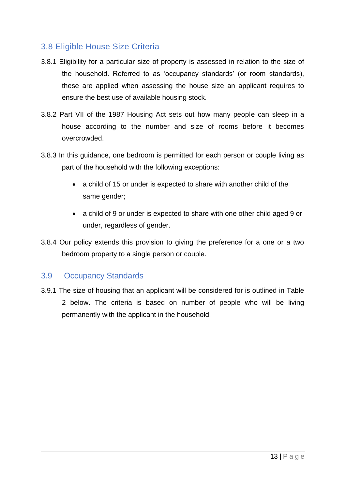## 3.8 Eligible House Size Criteria

- 3.8.1 Eligibility for a particular size of property is assessed in relation to the size of the household. Referred to as 'occupancy standards' (or room standards), these are applied when assessing the house size an applicant requires to ensure the best use of available housing stock.
- 3.8.2 Part VII of the 1987 Housing Act sets out how many people can sleep in a house according to the number and size of rooms before it becomes overcrowded.
- 3.8.3 In this guidance, one bedroom is permitted for each person or couple living as part of the household with the following exceptions:
	- a child of 15 or under is expected to share with another child of the same gender;
	- a child of 9 or under is expected to share with one other child aged 9 or under, regardless of gender.
- 3.8.4 Our policy extends this provision to giving the preference for a one or a two bedroom property to a single person or couple.

#### 3.9 Occupancy Standards

3.9.1 The size of housing that an applicant will be considered for is outlined in Table 2 below. The criteria is based on number of people who will be living permanently with the applicant in the household.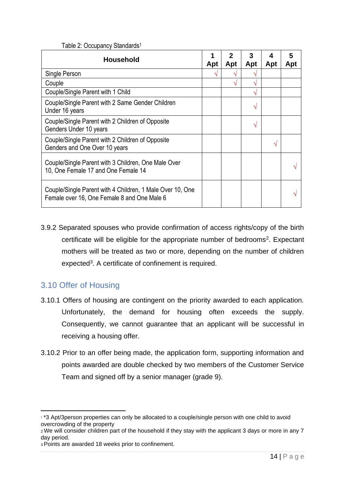|  |  | Table 2: Occupancy Standards <sup>1</sup> |
|--|--|-------------------------------------------|
|--|--|-------------------------------------------|

| <b>Household</b>                                                                                         | Apt | 2<br>Apt | 3<br>Apt | 4<br>Apt | 5<br>Apt |
|----------------------------------------------------------------------------------------------------------|-----|----------|----------|----------|----------|
| Single Person                                                                                            | V   |          |          |          |          |
| Couple                                                                                                   |     | ا^       | ٦Ι       |          |          |
| Couple/Single Parent with 1 Child                                                                        |     |          | ٦Ι       |          |          |
| Couple/Single Parent with 2 Same Gender Children<br>Under 16 years                                       |     |          | V        |          |          |
| Couple/Single Parent with 2 Children of Opposite<br>Genders Under 10 years                               |     |          | V        |          |          |
| Couple/Single Parent with 2 Children of Opposite<br>Genders and One Over 10 years                        |     |          |          |          |          |
| Couple/Single Parent with 3 Children, One Male Over<br>10, One Female 17 and One Female 14               |     |          |          |          |          |
| Couple/Single Parent with 4 Children, 1 Male Over 10, One<br>Female over 16, One Female 8 and One Male 6 |     |          |          |          |          |

3.9.2 Separated spouses who provide confirmation of access rights/copy of the birth certificate will be eligible for the appropriate number of bedrooms<sup>2</sup>. Expectant mothers will be treated as two or more, depending on the number of children expected<sup>3</sup>. A certificate of confinement is required.

# 3.10 Offer of Housing

- 3.10.1 Offers of housing are contingent on the priority awarded to each application. Unfortunately, the demand for housing often exceeds the supply. Consequently, we cannot guarantee that an applicant will be successful in receiving a housing offer.
- 3.10.2 Prior to an offer being made, the application form, supporting information and points awarded are double checked by two members of the Customer Service Team and signed off by a senior manager (grade 9).

<sup>1</sup> \*3 Apt/3person properties can only be allocated to a couple/single person with one child to avoid overcrowding of the property

<sup>2</sup>We will consider children part of the household if they stay with the applicant 3 days or more in any 7 day period.

<sup>3</sup>Points are awarded 18 weeks prior to confinement.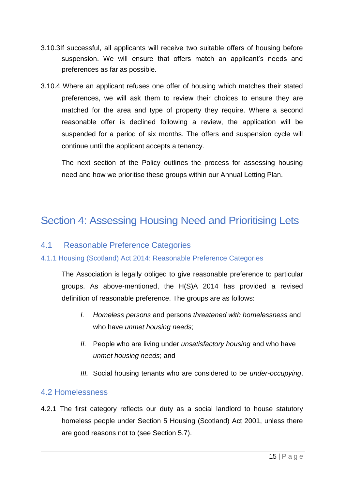- 3.10.3If successful, all applicants will receive two suitable offers of housing before suspension. We will ensure that offers match an applicant's needs and preferences as far as possible.
- 3.10.4 Where an applicant refuses one offer of housing which matches their stated preferences, we will ask them to review their choices to ensure they are matched for the area and type of property they require. Where a second reasonable offer is declined following a review, the application will be suspended for a period of six months. The offers and suspension cycle will continue until the applicant accepts a tenancy.

The next section of the Policy outlines the process for assessing housing need and how we prioritise these groups within our Annual Letting Plan.

# Section 4: Assessing Housing Need and Prioritising Lets

#### 4.1 Reasonable Preference Categories

#### 4.1.1 Housing (Scotland) Act 2014: Reasonable Preference Categories

The Association is legally obliged to give reasonable preference to particular groups. As above-mentioned, the H(S)A 2014 has provided a revised definition of reasonable preference. The groups are as follows:

- *I. Homeless persons* and persons *threatened with homelessness* and who have *unmet housing needs*;
- *II.* People who are living under *unsatisfactory housing* and who have *unmet housing needs*; and
- *III.* Social housing tenants who are considered to be *under-occupying*.

#### 4.2 Homelessness

4.2.1 The first category reflects our duty as a social landlord to house statutory homeless people under Section 5 Housing (Scotland) Act 2001, unless there are good reasons not to (see Section 5.7).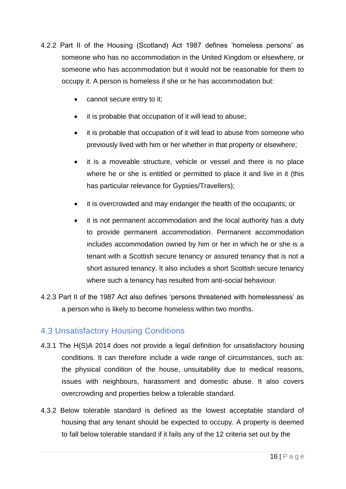- 4.2.2 Part II of the Housing (Scotland) Act 1987 defines 'homeless persons' as someone who has no accommodation in the United Kingdom or elsewhere, or someone who has accommodation but it would not be reasonable for them to occupy it. A person is homeless if she or he has accommodation but:
	- cannot secure entry to it;
	- it is probable that occupation of it will lead to abuse;
	- it is probable that occupation of it will lead to abuse from someone who previously lived with him or her whether in that property or elsewhere;
	- it is a moveable structure, vehicle or vessel and there is no place where he or she is entitled or permitted to place it and live in it (this has particular relevance for Gypsies/Travellers);
	- it is overcrowded and may endanger the health of the occupants; or
	- it is not permanent accommodation and the local authority has a duty to provide permanent accommodation. Permanent accommodation includes accommodation owned by him or her in which he or she is a tenant with a Scottish secure tenancy or assured tenancy that is not a short assured tenancy. It also includes a short Scottish secure tenancy where such a tenancy has resulted from anti-social behaviour.
- 4.2.3 Part II of the 1987 Act also defines 'persons threatened with homelessness' as a person who is likely to become homeless within two months.

## 4.3 Unsatisfactory Housing Conditions

- 4.3.1 The H(S)A 2014 does not provide a legal definition for unsatisfactory housing conditions. It can therefore include a wide range of circumstances, such as: the physical condition of the house, unsuitability due to medical reasons, issues with neighbours, harassment and domestic abuse. It also covers overcrowding and properties below a tolerable standard.
- 4.3.2 Below tolerable standard is defined as the lowest acceptable standard of housing that any tenant should be expected to occupy. A property is deemed to fall below tolerable standard if it fails any of the 12 criteria set out by the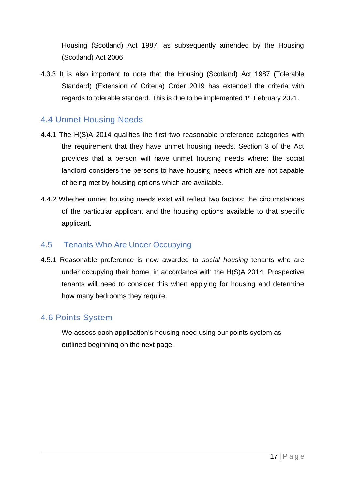Housing (Scotland) Act 1987, as subsequently amended by the Housing (Scotland) Act 2006.

4.3.3 It is also important to note that the Housing (Scotland) Act 1987 (Tolerable Standard) (Extension of Criteria) Order 2019 has extended the criteria with regards to tolerable standard. This is due to be implemented 1<sup>st</sup> February 2021.

#### 4.4 Unmet Housing Needs

- 4.4.1 The H(S)A 2014 qualifies the first two reasonable preference categories with the requirement that they have unmet housing needs. Section 3 of the Act provides that a person will have unmet housing needs where: the social landlord considers the persons to have housing needs which are not capable of being met by housing options which are available.
- 4.4.2 Whether unmet housing needs exist will reflect two factors: the circumstances of the particular applicant and the housing options available to that specific applicant.

#### 4.5 Tenants Who Are Under Occupying

4.5.1 Reasonable preference is now awarded to *social housing* tenants who are under occupying their home, in accordance with the H(S)A 2014. Prospective tenants will need to consider this when applying for housing and determine how many bedrooms they require.

#### 4.6 Points System

We assess each application's housing need using our points system as outlined beginning on the next page.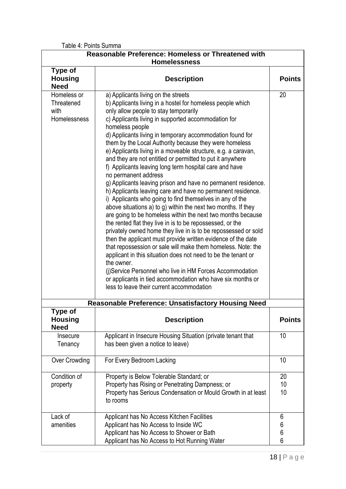Table 4: Points Summa

| <b>Reasonable Preference: Homeless or Threatened with</b><br><b>Homelessness</b> |                                                                                                                                                                                                                                                                                                                                                                                                                                                                                                                                                                                                                                                                                                                                                                                                                                                                                                                                                                                                                                                                                                                                                                                                                                                                                                                                                                                                              |                               |  |  |
|----------------------------------------------------------------------------------|--------------------------------------------------------------------------------------------------------------------------------------------------------------------------------------------------------------------------------------------------------------------------------------------------------------------------------------------------------------------------------------------------------------------------------------------------------------------------------------------------------------------------------------------------------------------------------------------------------------------------------------------------------------------------------------------------------------------------------------------------------------------------------------------------------------------------------------------------------------------------------------------------------------------------------------------------------------------------------------------------------------------------------------------------------------------------------------------------------------------------------------------------------------------------------------------------------------------------------------------------------------------------------------------------------------------------------------------------------------------------------------------------------------|-------------------------------|--|--|
| Type of<br><b>Housing</b><br><b>Need</b>                                         | <b>Description</b>                                                                                                                                                                                                                                                                                                                                                                                                                                                                                                                                                                                                                                                                                                                                                                                                                                                                                                                                                                                                                                                                                                                                                                                                                                                                                                                                                                                           | <b>Points</b>                 |  |  |
| Homeless or<br>Threatened<br>with<br>Homelessness                                | a) Applicants living on the streets<br>b) Applicants living in a hostel for homeless people which<br>only allow people to stay temporarily<br>c) Applicants living in supported accommodation for<br>homeless people<br>d) Applicants living in temporary accommodation found for<br>them by the Local Authority because they were homeless<br>e) Applicants living in a moveable structure, e.g. a caravan,<br>and they are not entitled or permitted to put it anywhere<br>f) Applicants leaving long term hospital care and have<br>no permanent address<br>g) Applicants leaving prison and have no permanent residence.<br>h) Applicants leaving care and have no permanent residence.<br>i) Applicants who going to find themselves in any of the<br>above situations a) to g) within the next two months. If they<br>are going to be homeless within the next two months because<br>the rented flat they live in is to be repossessed, or the<br>privately owned home they live in is to be repossessed or sold<br>then the applicant must provide written evidence of the date<br>that repossession or sale will make them homeless. Note: the<br>applicant in this situation does not need to be the tenant or<br>the owner.<br>(j)Service Personnel who live in HM Forces Accommodation<br>or applicants in tied accommodation who have six months or<br>less to leave their current accommodation | 20                            |  |  |
| Type of                                                                          | <b>Reasonable Preference: Unsatisfactory Housing Need</b>                                                                                                                                                                                                                                                                                                                                                                                                                                                                                                                                                                                                                                                                                                                                                                                                                                                                                                                                                                                                                                                                                                                                                                                                                                                                                                                                                    |                               |  |  |
| <b>Housing</b><br><b>Need</b>                                                    | <b>Description</b>                                                                                                                                                                                                                                                                                                                                                                                                                                                                                                                                                                                                                                                                                                                                                                                                                                                                                                                                                                                                                                                                                                                                                                                                                                                                                                                                                                                           | <b>Points</b>                 |  |  |
| Insecure<br>Tenancy                                                              | Applicant in Insecure Housing Situation (private tenant that<br>has been given a notice to leave)                                                                                                                                                                                                                                                                                                                                                                                                                                                                                                                                                                                                                                                                                                                                                                                                                                                                                                                                                                                                                                                                                                                                                                                                                                                                                                            | 10                            |  |  |
| <b>Over Crowding</b>                                                             | For Every Bedroom Lacking                                                                                                                                                                                                                                                                                                                                                                                                                                                                                                                                                                                                                                                                                                                                                                                                                                                                                                                                                                                                                                                                                                                                                                                                                                                                                                                                                                                    | 10                            |  |  |
| Condition of<br>property                                                         | Property is Below Tolerable Standard; or<br>Property has Rising or Penetrating Dampness; or<br>Property has Serious Condensation or Mould Growth in at least<br>to rooms                                                                                                                                                                                                                                                                                                                                                                                                                                                                                                                                                                                                                                                                                                                                                                                                                                                                                                                                                                                                                                                                                                                                                                                                                                     | 20<br>10<br>10 <sup>°</sup>   |  |  |
| Lack of<br>amenities                                                             | Applicant has No Access Kitchen Facilities<br>Applicant has No Access to Inside WC<br>Applicant has No Access to Shower or Bath<br>Applicant has No Access to Hot Running Water                                                                                                                                                                                                                                                                                                                                                                                                                                                                                                                                                                                                                                                                                                                                                                                                                                                                                                                                                                                                                                                                                                                                                                                                                              | 6<br>6<br>$6\phantom{a}$<br>6 |  |  |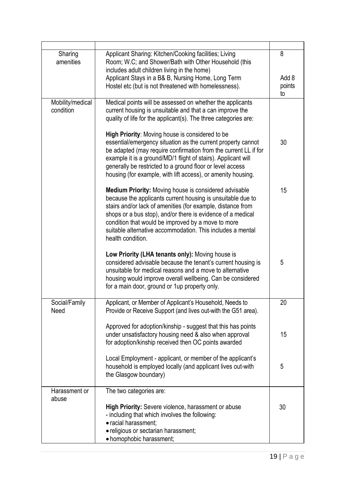| Sharing<br>amenities          | Applicant Sharing: Kitchen/Cooking facilities; Living<br>Room; W.C; and Shower/Bath with Other Household (this<br>includes adult children living in the home)<br>Applicant Stays in a B& B, Nursing Home, Long Term                                                                                                                                                                         |              |
|-------------------------------|---------------------------------------------------------------------------------------------------------------------------------------------------------------------------------------------------------------------------------------------------------------------------------------------------------------------------------------------------------------------------------------------|--------------|
|                               | Hostel etc (but is not threatened with homelessness).                                                                                                                                                                                                                                                                                                                                       | points<br>to |
| Mobility/medical<br>condition | Medical points will be assessed on whether the applicants<br>current housing is unsuitable and that a can improve the<br>quality of life for the applicant(s). The three categories are:                                                                                                                                                                                                    |              |
|                               | High Priority: Moving house is considered to be<br>essential/emergency situation as the current property cannot<br>be adapted (may require confirmation from the current LL if for<br>example it is a ground/MD/1 flight of stairs). Applicant will<br>generally be restricted to a ground floor or level access<br>housing (for example, with lift access), or amenity housing.            | 30           |
|                               | Medium Priority: Moving house is considered advisable<br>because the applicants current housing is unsuitable due to<br>stairs and/or lack of amenities (for example, distance from<br>shops or a bus stop), and/or there is evidence of a medical<br>condition that would be improved by a move to more<br>suitable alternative accommodation. This includes a mental<br>health condition. | 15           |
|                               | Low Priority (LHA tenants only): Moving house is<br>considered advisable because the tenant's current housing is<br>unsuitable for medical reasons and a move to alternative<br>housing would improve overall wellbeing. Can be considered<br>for a main door, ground or 1up property only.                                                                                                 | 5            |
| Social/Family<br>Need         | Applicant, or Member of Applicant's Household, Needs to<br>Provide or Receive Support (and lives out-with the G51 area).                                                                                                                                                                                                                                                                    | 20           |
|                               | Approved for adoption/kinship - suggest that this has points<br>under unsatisfactory housing need & also when approval<br>for adoption/kinship received then OC points awarded                                                                                                                                                                                                              | 15           |
|                               | Local Employment - applicant, or member of the applicant's<br>household is employed locally (and applicant lives out-with<br>the Glasgow boundary)                                                                                                                                                                                                                                          | 5            |
| Harassment or<br>abuse        | The two categories are:                                                                                                                                                                                                                                                                                                                                                                     |              |
|                               | High Priority: Severe violence, harassment or abuse<br>- including that which involves the following:<br>· racial harassment;<br>· religious or sectarian harassment;                                                                                                                                                                                                                       | 30           |
|                               | • homophobic harassment;                                                                                                                                                                                                                                                                                                                                                                    |              |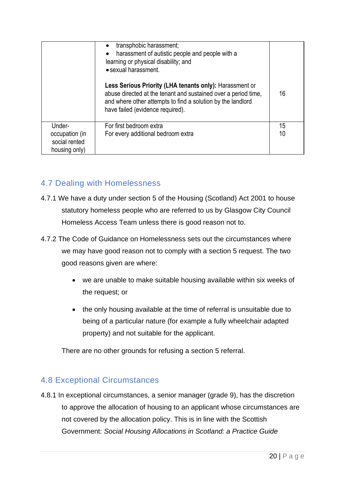|                                                  | transphobic harassment;<br>harassment of autistic people and people with a<br>learning or physical disability; and<br>• sexual harassment.                                                                                   |    |
|--------------------------------------------------|------------------------------------------------------------------------------------------------------------------------------------------------------------------------------------------------------------------------------|----|
|                                                  | Less Serious Priority (LHA tenants only): Harassment or<br>abuse directed at the tenant and sustained over a period time,<br>and where other attempts to find a solution by the landlord<br>have failed (evidence required). | 16 |
| Under-                                           | For first bedroom extra                                                                                                                                                                                                      | 15 |
| occupation (in<br>social rented<br>housing only) | For every additional bedroom extra                                                                                                                                                                                           | 10 |

## 4.7 Dealing with Homelessness

- 4.7.1 We have a duty under section 5 of the Housing (Scotland) Act 2001 to house statutory homeless people who are referred to us by Glasgow City Council Homeless Access Team unless there is good reason not to.
- 4.7.2 The Code of Guidance on Homelessness sets out the circumstances where we may have good reason not to comply with a section 5 request. The two good reasons given are where:
	- we are unable to make suitable housing available within six weeks of the request; or
	- the only housing available at the time of referral is unsuitable due to being of a particular nature (for example a fully wheelchair adapted property) and not suitable for the applicant.

There are no other grounds for refusing a section 5 referral.

## 4.8 Exceptional Circumstances

4.8.1 In exceptional circumstances, a senior manager (grade 9), has the discretion to approve the allocation of housing to an applicant whose circumstances are not covered by the allocation policy. This is in line with the Scottish Government: *Social Housing Allocations in Scotland: a Practice Guide*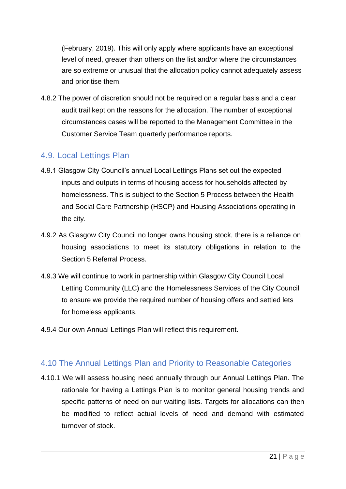(February, 2019). This will only apply where applicants have an exceptional level of need, greater than others on the list and/or where the circumstances are so extreme or unusual that the allocation policy cannot adequately assess and prioritise them.

4.8.2 The power of discretion should not be required on a regular basis and a clear audit trail kept on the reasons for the allocation. The number of exceptional circumstances cases will be reported to the Management Committee in the Customer Service Team quarterly performance reports.

## 4.9. Local Lettings Plan

- 4.9.1 Glasgow City Council's annual Local Lettings Plans set out the expected inputs and outputs in terms of housing access for households affected by homelessness. This is subject to the Section 5 Process between the Health and Social Care Partnership (HSCP) and Housing Associations operating in the city.
- 4.9.2 As Glasgow City Council no longer owns housing stock, there is a reliance on housing associations to meet its statutory obligations in relation to the Section 5 Referral Process.
- 4.9.3 We will continue to work in partnership within Glasgow City Council Local Letting Community (LLC) and the Homelessness Services of the City Council to ensure we provide the required number of housing offers and settled lets for homeless applicants.
- 4.9.4 Our own Annual Lettings Plan will reflect this requirement.

## 4.10 The Annual Lettings Plan and Priority to Reasonable Categories

4.10.1 We will assess housing need annually through our Annual Lettings Plan. The rationale for having a Lettings Plan is to monitor general housing trends and specific patterns of need on our waiting lists. Targets for allocations can then be modified to reflect actual levels of need and demand with estimated turnover of stock.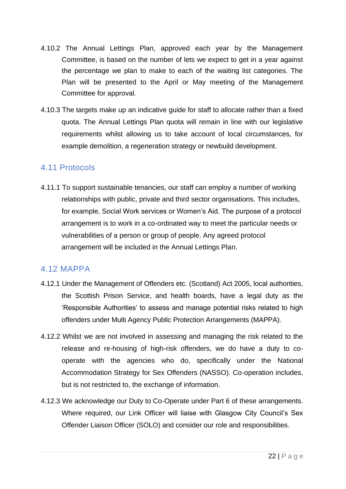- 4.10.2 The Annual Lettings Plan, approved each year by the Management Committee, is based on the number of lets we expect to get in a year against the percentage we plan to make to each of the waiting list categories. The Plan will be presented to the April or May meeting of the Management Committee for approval.
- 4.10.3 The targets make up an indicative guide for staff to allocate rather than a fixed quota. The Annual Lettings Plan quota will remain in line with our legislative requirements whilst allowing us to take account of local circumstances, for example demolition, a regeneration strategy or newbuild development.

#### 4.11 Protocols

4.11.1 To support sustainable tenancies, our staff can employ a number of working relationships with public, private and third sector organisations. This includes, for example, Social Work services or Women's Aid. The purpose of a protocol arrangement is to work in a co-ordinated way to meet the particular needs or vulnerabilities of a person or group of people. Any agreed protocol arrangement will be included in the Annual Lettings Plan.

## 4.12 MAPPA

- 4.12.1 Under the Management of Offenders etc. (Scotland) Act 2005, local authorities, the Scottish Prison Service, and health boards, have a legal duty as the 'Responsible Authorities' to assess and manage potential risks related to high offenders under Multi Agency Public Protection Arrangements (MAPPA).
- 4.12.2 Whilst we are not involved in assessing and managing the risk related to the release and re-housing of high-risk offenders, we do have a duty to cooperate with the agencies who do, specifically under the National Accommodation Strategy for Sex Offenders (NASSO). Co-operation includes, but is not restricted to, the exchange of information.
- 4.12.3 We acknowledge our Duty to Co-Operate under Part 6 of these arrangements. Where required, our Link Officer will liaise with Glasgow City Council's Sex Offender Liaison Officer (SOLO) and consider our role and responsibilities.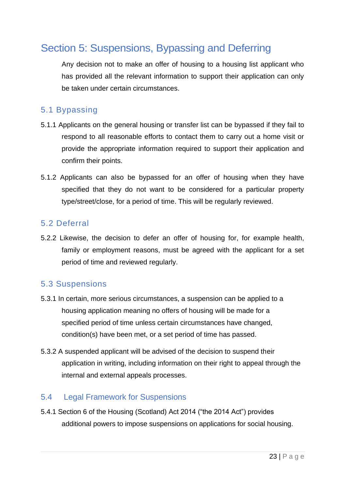# Section 5: Suspensions, Bypassing and Deferring

Any decision not to make an offer of housing to a housing list applicant who has provided all the relevant information to support their application can only be taken under certain circumstances.

## 5.1 Bypassing

- 5.1.1 Applicants on the general housing or transfer list can be bypassed if they fail to respond to all reasonable efforts to contact them to carry out a home visit or provide the appropriate information required to support their application and confirm their points.
- 5.1.2 Applicants can also be bypassed for an offer of housing when they have specified that they do not want to be considered for a particular property type/street/close, for a period of time. This will be regularly reviewed.

#### 5.2 Deferral

5.2.2 Likewise, the decision to defer an offer of housing for, for example health, family or employment reasons, must be agreed with the applicant for a set period of time and reviewed regularly.

#### 5.3 Suspensions

- 5.3.1 In certain, more serious circumstances, a suspension can be applied to a housing application meaning no offers of housing will be made for a specified period of time unless certain circumstances have changed, condition(s) have been met, or a set period of time has passed.
- 5.3.2 A suspended applicant will be advised of the decision to suspend their application in writing, including information on their right to appeal through the internal and external appeals processes.

## 5.4 Legal Framework for Suspensions

5.4.1 Section 6 of the Housing (Scotland) Act 2014 ("the 2014 Act") provides additional powers to impose suspensions on applications for social housing.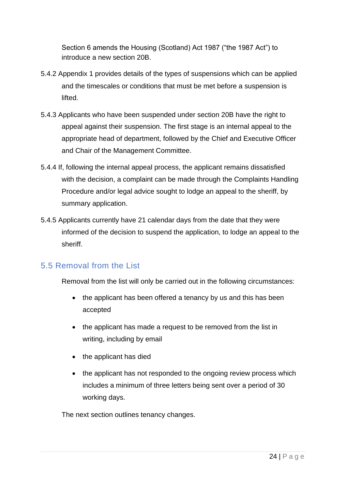Section 6 amends the Housing (Scotland) Act 1987 ("the 1987 Act") to introduce a new section 20B.

- 5.4.2 Appendix 1 provides details of the types of suspensions which can be applied and the timescales or conditions that must be met before a suspension is lifted.
- 5.4.3 Applicants who have been suspended under section 20B have the right to appeal against their suspension. The first stage is an internal appeal to the appropriate head of department, followed by the Chief and Executive Officer and Chair of the Management Committee.
- 5.4.4 If, following the internal appeal process, the applicant remains dissatisfied with the decision, a complaint can be made through the Complaints Handling Procedure and/or legal advice sought to lodge an appeal to the sheriff, by summary application.
- 5.4.5 Applicants currently have 21 calendar days from the date that they were informed of the decision to suspend the application, to lodge an appeal to the sheriff.

## 5.5 Removal from the List

Removal from the list will only be carried out in the following circumstances:

- the applicant has been offered a tenancy by us and this has been accepted
- the applicant has made a request to be removed from the list in writing, including by email
- the applicant has died
- the applicant has not responded to the ongoing review process which includes a minimum of three letters being sent over a period of 30 working days.

The next section outlines tenancy changes.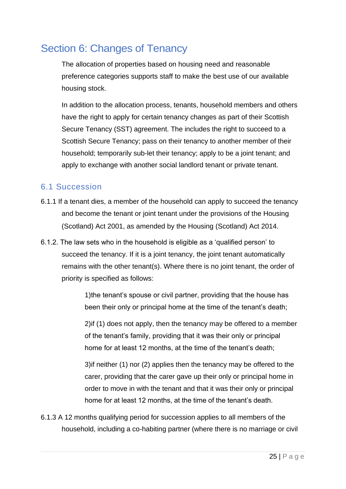# Section 6: Changes of Tenancy

The allocation of properties based on housing need and reasonable preference categories supports staff to make the best use of our available housing stock.

In addition to the allocation process, tenants, household members and others have the right to apply for certain tenancy changes as part of their Scottish Secure Tenancy (SST) agreement. The includes the right to succeed to a Scottish Secure Tenancy; pass on their tenancy to another member of their household; temporarily sub-let their tenancy; apply to be a joint tenant; and apply to exchange with another social landlord tenant or private tenant.

## 6.1 Succession

- 6.1.1 If a tenant dies, a member of the household can apply to succeed the tenancy and become the tenant or joint tenant under the provisions of the Housing (Scotland) Act 2001, as amended by the Housing (Scotland) Act 2014.
- 6.1.2. The law sets who in the household is eligible as a 'qualified person' to succeed the tenancy. If it is a joint tenancy, the joint tenant automatically remains with the other tenant(s). Where there is no joint tenant, the order of priority is specified as follows:

1)the tenant's spouse or civil partner, providing that the house has been their only or principal home at the time of the tenant's death;

2)if (1) does not apply, then the tenancy may be offered to a member of the tenant's family, providing that it was their only or principal home for at least 12 months, at the time of the tenant's death;

3)if neither (1) nor (2) applies then the tenancy may be offered to the carer, providing that the carer gave up their only or principal home in order to move in with the tenant and that it was their only or principal home for at least 12 months, at the time of the tenant's death.

6.1.3 A 12 months qualifying period for succession applies to all members of the household, including a co-habiting partner (where there is no marriage or civil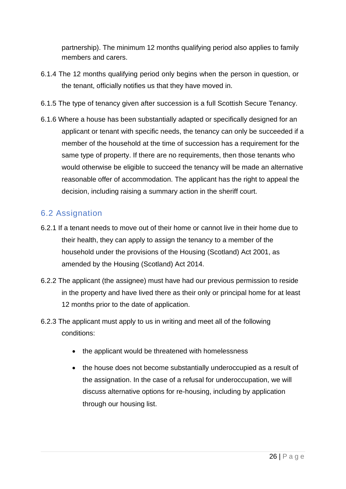partnership). The minimum 12 months qualifying period also applies to family members and carers.

- 6.1.4 The 12 months qualifying period only begins when the person in question, or the tenant, officially notifies us that they have moved in.
- 6.1.5 The type of tenancy given after succession is a full Scottish Secure Tenancy.
- 6.1.6 Where a house has been substantially adapted or specifically designed for an applicant or tenant with specific needs, the tenancy can only be succeeded if a member of the household at the time of succession has a requirement for the same type of property. If there are no requirements, then those tenants who would otherwise be eligible to succeed the tenancy will be made an alternative reasonable offer of accommodation. The applicant has the right to appeal the decision, including raising a summary action in the sheriff court.

## 6.2 Assignation

- 6.2.1 If a tenant needs to move out of their home or cannot live in their home due to their health, they can apply to assign the tenancy to a member of the household under the provisions of the Housing (Scotland) Act 2001, as amended by the Housing (Scotland) Act 2014.
- 6.2.2 The applicant (the assignee) must have had our previous permission to reside in the property and have lived there as their only or principal home for at least 12 months prior to the date of application.
- 6.2.3 The applicant must apply to us in writing and meet all of the following conditions:
	- the applicant would be threatened with homelessness
	- the house does not become substantially underoccupied as a result of the assignation. In the case of a refusal for underoccupation, we will discuss alternative options for re-housing, including by application through our housing list.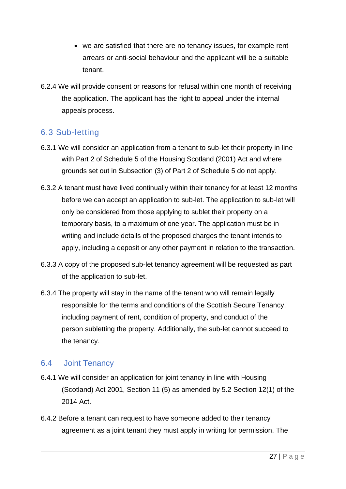- we are satisfied that there are no tenancy issues, for example rent arrears or anti-social behaviour and the applicant will be a suitable tenant.
- 6.2.4 We will provide consent or reasons for refusal within one month of receiving the application. The applicant has the right to appeal under the internal appeals process.

## 6.3 Sub-letting

- 6.3.1 We will consider an application from a tenant to sub-let their property in line with Part 2 of Schedule 5 of the Housing Scotland (2001) Act and where grounds set out in Subsection (3) of Part 2 of Schedule 5 do not apply.
- 6.3.2 A tenant must have lived continually within their tenancy for at least 12 months before we can accept an application to sub-let. The application to sub-let will only be considered from those applying to sublet their property on a temporary basis, to a maximum of one year. The application must be in writing and include details of the proposed charges the tenant intends to apply, including a deposit or any other payment in relation to the transaction.
- 6.3.3 A copy of the proposed sub-let tenancy agreement will be requested as part of the application to sub-let.
- 6.3.4 The property will stay in the name of the tenant who will remain legally responsible for the terms and conditions of the Scottish Secure Tenancy, including payment of rent, condition of property, and conduct of the person subletting the property. Additionally, the sub-let cannot succeed to the tenancy.

## 6.4 Joint Tenancy

- 6.4.1 We will consider an application for joint tenancy in line with Housing (Scotland) Act 2001, Section 11 (5) as amended by 5.2 Section 12(1) of the 2014 Act.
- 6.4.2 Before a tenant can request to have someone added to their tenancy agreement as a joint tenant they must apply in writing for permission. The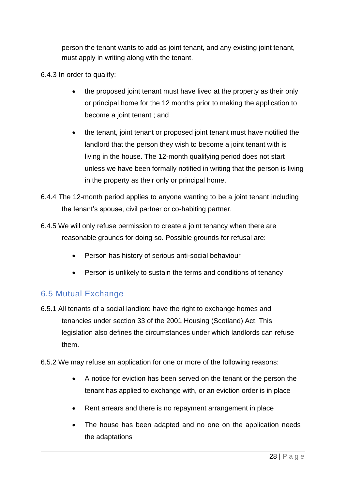person the tenant wants to add as joint tenant, and any existing joint tenant, must apply in writing along with the tenant.

- 6.4.3 In order to qualify:
	- the proposed joint tenant must have lived at the property as their only or principal home for the 12 months prior to making the application to become a joint tenant ; and
	- the tenant, joint tenant or proposed joint tenant must have notified the landlord that the person they wish to become a joint tenant with is living in the house. The 12-month qualifying period does not start unless we have been formally notified in writing that the person is living in the property as their only or principal home.
- 6.4.4 The 12-month period applies to anyone wanting to be a joint tenant including the tenant's spouse, civil partner or co-habiting partner.
- 6.4.5 We will only refuse permission to create a joint tenancy when there are reasonable grounds for doing so. Possible grounds for refusal are:
	- Person has history of serious anti-social behaviour
	- Person is unlikely to sustain the terms and conditions of tenancy

## 6.5 Mutual Exchange

- 6.5.1 All tenants of a social landlord have the right to exchange homes and tenancies under section 33 of the 2001 Housing (Scotland) Act. This legislation also defines the circumstances under which landlords can refuse them.
- 6.5.2 We may refuse an application for one or more of the following reasons:
	- A notice for eviction has been served on the tenant or the person the tenant has applied to exchange with, or an eviction order is in place
	- Rent arrears and there is no repayment arrangement in place
	- The house has been adapted and no one on the application needs the adaptations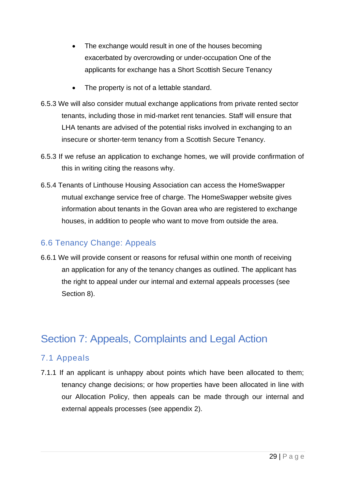- The exchange would result in one of the houses becoming exacerbated by overcrowding or under-occupation One of the applicants for exchange has a Short Scottish Secure Tenancy
- The property is not of a lettable standard.
- 6.5.3 We will also consider mutual exchange applications from private rented sector tenants, including those in mid-market rent tenancies. Staff will ensure that LHA tenants are advised of the potential risks involved in exchanging to an insecure or shorter-term tenancy from a Scottish Secure Tenancy.
- 6.5.3 If we refuse an application to exchange homes, we will provide confirmation of this in writing citing the reasons why.
- 6.5.4 Tenants of Linthouse Housing Association can access the HomeSwapper mutual exchange service free of charge. The HomeSwapper website gives information about tenants in the Govan area who are registered to exchange houses, in addition to people who want to move from outside the area.

## 6.6 Tenancy Change: Appeals

6.6.1 We will provide consent or reasons for refusal within one month of receiving an application for any of the tenancy changes as outlined. The applicant has the right to appeal under our internal and external appeals processes (see Section 8).

# Section 7: Appeals, Complaints and Legal Action

## 7.1 Appeals

7.1.1 If an applicant is unhappy about points which have been allocated to them; tenancy change decisions; or how properties have been allocated in line with our Allocation Policy, then appeals can be made through our internal and external appeals processes (see appendix 2).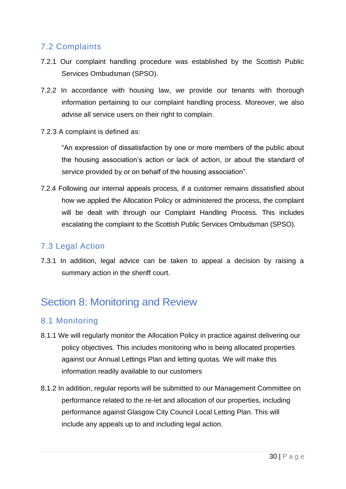## 7.2 Complaints

- 7.2.1 Our complaint handling procedure was established by the Scottish Public Services Ombudsman (SPSO).
- 7.2.2 In accordance with housing law, we provide our tenants with thorough information pertaining to our complaint handling process. Moreover, we also advise all service users on their right to complain.
- 7.2.3 A complaint is defined as:

"An expression of dissatisfaction by one or more members of the public about the housing association's action or lack of action, or about the standard of service provided by or on behalf of the housing association".

7.2.4 Following our internal appeals process, if a customer remains dissatisfied about how we applied the Allocation Policy or administered the process, the complaint will be dealt with through our Complaint Handling Process. This includes escalating the complaint to the Scottish Public Services Ombudsman (SPSO).

## 7.3 Legal Action

7.3.1 In addition, legal advice can be taken to appeal a decision by raising a summary action in the sheriff court.

# Section 8: Monitoring and Review

## 8.1 Monitoring

- 8.1.1 We will regularly monitor the Allocation Policy in practice against delivering our policy objectives. This includes monitoring who is being allocated properties against our Annual Lettings Plan and letting quotas. We will make this information readily available to our customers
- 8.1.2 In addition, regular reports will be submitted to our Management Committee on performance related to the re-let and allocation of our properties, including performance against Glasgow City Council Local Letting Plan. This will include any appeals up to and including legal action.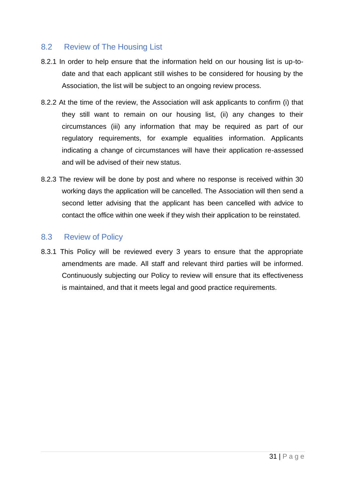#### 8.2 Review of The Housing List

- 8.2.1 In order to help ensure that the information held on our housing list is up-todate and that each applicant still wishes to be considered for housing by the Association, the list will be subject to an ongoing review process.
- 8.2.2 At the time of the review, the Association will ask applicants to confirm (i) that they still want to remain on our housing list, (ii) any changes to their circumstances (iii) any information that may be required as part of our regulatory requirements, for example equalities information. Applicants indicating a change of circumstances will have their application re-assessed and will be advised of their new status.
- 8.2.3 The review will be done by post and where no response is received within 30 working days the application will be cancelled. The Association will then send a second letter advising that the applicant has been cancelled with advice to contact the office within one week if they wish their application to be reinstated.

#### 8.3 Review of Policy

8.3.1 This Policy will be reviewed every 3 years to ensure that the appropriate amendments are made. All staff and relevant third parties will be informed. Continuously subjecting our Policy to review will ensure that its effectiveness is maintained, and that it meets legal and good practice requirements.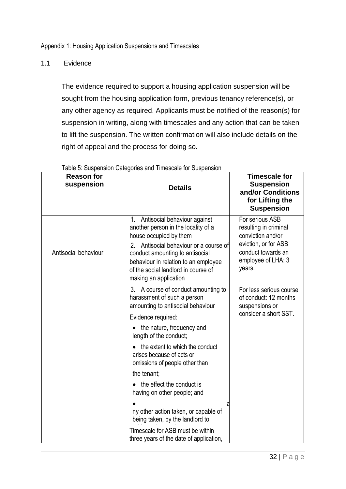1.1 Evidence

The evidence required to support a housing application suspension will be sought from the housing application form, previous tenancy reference(s), or any other agency as required. Applicants must be notified of the reason(s) for suspension in writing, along with timescales and any action that can be taken to lift the suspension. The written confirmation will also include details on the right of appeal and the process for doing so.

| <b>Reason for</b><br>suspension | <b>Details</b>                                                                                                                                                                                                                                                                           | <b>Timescale for</b><br><b>Suspension</b><br>and/or Conditions<br>for Lifting the<br><b>Suspension</b>                                      |
|---------------------------------|------------------------------------------------------------------------------------------------------------------------------------------------------------------------------------------------------------------------------------------------------------------------------------------|---------------------------------------------------------------------------------------------------------------------------------------------|
| Antisocial behaviour            | 1. Antisocial behaviour against<br>another person in the locality of a<br>house occupied by them<br>Antisocial behaviour or a course of<br>2.<br>conduct amounting to antisocial<br>behaviour in relation to an employee<br>of the social landlord in course of<br>making an application | For serious ASB<br>resulting in criminal<br>conviction and/or<br>eviction, or for ASB<br>conduct towards an<br>employee of LHA: 3<br>years. |
|                                 | 3. A course of conduct amounting to<br>harassment of such a person<br>amounting to antisocial behaviour<br>Evidence required:<br>• the nature, frequency and                                                                                                                             | For less serious course<br>of conduct: 12 months<br>suspensions or<br>consider a short SST.                                                 |
|                                 | length of the conduct;<br>the extent to which the conduct<br>arises because of acts or<br>omissions of people other than                                                                                                                                                                 |                                                                                                                                             |
|                                 | the tenant;<br>the effect the conduct is<br>having on other people; and<br>ny other action taken, or capable of                                                                                                                                                                          |                                                                                                                                             |
|                                 | being taken, by the landlord to<br>Timescale for ASB must be within<br>three years of the date of application,                                                                                                                                                                           |                                                                                                                                             |

Table 5: Suspension Categories and Timescale for Suspension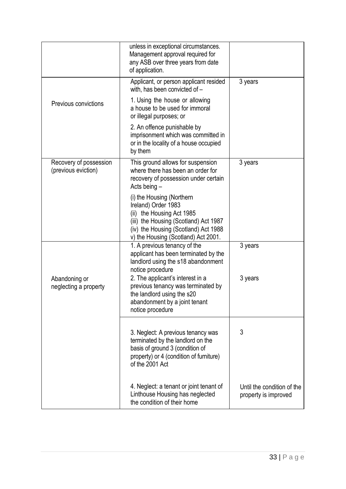|                                               | unless in exceptional circumstances.<br>Management approval required for<br>any ASB over three years from date<br>of application.                                                                     |                                                    |
|-----------------------------------------------|-------------------------------------------------------------------------------------------------------------------------------------------------------------------------------------------------------|----------------------------------------------------|
|                                               | Applicant, or person applicant resided<br>with, has been convicted of -                                                                                                                               | 3 years                                            |
| Previous convictions                          | 1. Using the house or allowing<br>a house to be used for immoral<br>or illegal purposes; or                                                                                                           |                                                    |
|                                               | 2. An offence punishable by<br>imprisonment which was committed in<br>or in the locality of a house occupied<br>by them                                                                               |                                                    |
| Recovery of possession<br>(previous eviction) | This ground allows for suspension<br>where there has been an order for<br>recovery of possession under certain<br>Acts being -                                                                        | 3 years                                            |
|                                               | (i) the Housing (Northern<br>Ireland) Order 1983<br>(ii) the Housing Act 1985<br>(iii) the Housing (Scotland) Act 1987<br>(iv) the Housing (Scotland) Act 1988<br>v) the Housing (Scotland) Act 2001. |                                                    |
|                                               | 1. A previous tenancy of the<br>applicant has been terminated by the<br>landlord using the s18 abandonment<br>notice procedure                                                                        | 3 years                                            |
| Abandoning or<br>neglecting a property        | 2. The applicant's interest in a<br>previous tenancy was terminated by<br>the landlord using the s20<br>abandonment by a joint tenant<br>notice procedure                                             | 3 years                                            |
|                                               | 3. Neglect: A previous tenancy was<br>terminated by the landlord on the<br>basis of ground 3 (condition of<br>property) or 4 (condition of furniture)<br>of the 2001 Act                              | 3                                                  |
|                                               | 4. Neglect: a tenant or joint tenant of<br>Linthouse Housing has neglected<br>the condition of their home                                                                                             | Until the condition of the<br>property is improved |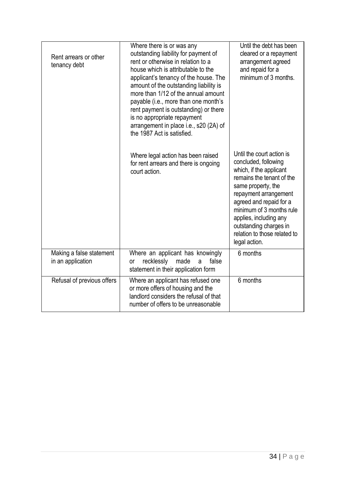| Rent arrears or other<br>tenancy debt         | Where there is or was any<br>outstanding liability for payment of<br>rent or otherwise in relation to a<br>house which is attributable to the<br>applicant's tenancy of the house. The<br>amount of the outstanding liability is<br>more than 1/12 of the annual amount<br>payable (i.e., more than one month's<br>rent payment is outstanding) or there<br>is no appropriate repayment<br>arrangement in place i.e., s20 (2A) of<br>the 1987 Act is satisfied. | Until the debt has been<br>cleared or a repayment<br>arrangement agreed<br>and repaid for a<br>minimum of 3 months.                                                                                                                                                                                                  |
|-----------------------------------------------|-----------------------------------------------------------------------------------------------------------------------------------------------------------------------------------------------------------------------------------------------------------------------------------------------------------------------------------------------------------------------------------------------------------------------------------------------------------------|----------------------------------------------------------------------------------------------------------------------------------------------------------------------------------------------------------------------------------------------------------------------------------------------------------------------|
|                                               | Where legal action has been raised<br>for rent arrears and there is ongoing<br>court action.                                                                                                                                                                                                                                                                                                                                                                    | Until the court action is<br>concluded, following<br>which, if the applicant<br>remains the tenant of the<br>same property, the<br>repayment arrangement<br>agreed and repaid for a<br>minimum of 3 months rule<br>applies, including any<br>outstanding charges in<br>relation to those related to<br>legal action. |
| Making a false statement<br>in an application | Where an applicant has knowingly<br>recklessly<br>made<br>false<br>a<br>or<br>statement in their application form                                                                                                                                                                                                                                                                                                                                               | 6 months                                                                                                                                                                                                                                                                                                             |
| Refusal of previous offers                    | Where an applicant has refused one<br>or more offers of housing and the<br>landlord considers the refusal of that<br>number of offers to be unreasonable                                                                                                                                                                                                                                                                                                        | 6 months                                                                                                                                                                                                                                                                                                             |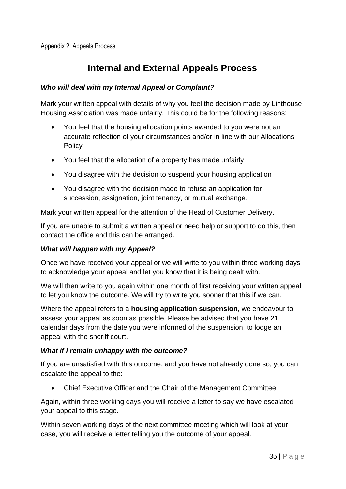# **Internal and External Appeals Process**

#### *Who will deal with my Internal Appeal or Complaint?*

Mark your written appeal with details of why you feel the decision made by Linthouse Housing Association was made unfairly. This could be for the following reasons:

- You feel that the housing allocation points awarded to you were not an accurate reflection of your circumstances and/or in line with our Allocations **Policy**
- You feel that the allocation of a property has made unfairly
- You disagree with the decision to suspend your housing application
- You disagree with the decision made to refuse an application for succession, assignation, joint tenancy, or mutual exchange.

Mark your written appeal for the attention of the Head of Customer Delivery.

If you are unable to submit a written appeal or need help or support to do this, then contact the office and this can be arranged.

#### *What will happen with my Appeal?*

Once we have received your appeal or we will write to you within three working days to acknowledge your appeal and let you know that it is being dealt with.

We will then write to you again within one month of first receiving your written appeal to let you know the outcome. We will try to write you sooner that this if we can.

Where the appeal refers to a **housing application suspension**, we endeavour to assess your appeal as soon as possible. Please be advised that you have 21 calendar days from the date you were informed of the suspension, to lodge an appeal with the sheriff court.

#### *What if I remain unhappy with the outcome?*

If you are unsatisfied with this outcome, and you have not already done so, you can escalate the appeal to the:

• Chief Executive Officer and the Chair of the Management Committee

Again, within three working days you will receive a letter to say we have escalated your appeal to this stage.

Within seven working days of the next committee meeting which will look at your case, you will receive a letter telling you the outcome of your appeal.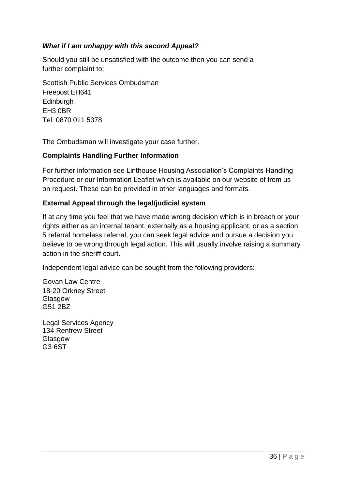#### *What if I am unhappy with this second Appeal?*

Should you still be unsatisfied with the outcome then you can send a further complaint to:

Scottish Public Services Ombudsman Freepost EH641 **Edinburgh** EH3 0BR Tel: 0870 011 5378

The Ombudsman will investigate your case further.

#### **Complaints Handling Further Information**

For further information see Linthouse Housing Association's Complaints Handling Procedure or our Information Leaflet which is available on our website of from us on request. These can be provided in other languages and formats.

#### **External Appeal through the legal/judicial system**

If at any time you feel that we have made wrong decision which is in breach or your rights either as an internal tenant, externally as a housing applicant, or as a section 5 referral homeless referral, you can seek legal advice and pursue a decision you believe to be wrong through legal action. This will usually involve raising a summary action in the sheriff court.

Independent legal advice can be sought from the following providers:

Govan Law Centre 18-20 Orkney Street Glasgow G51 2BZ

Legal Services Agency 134 Renfrew Street Glasgow G3 6ST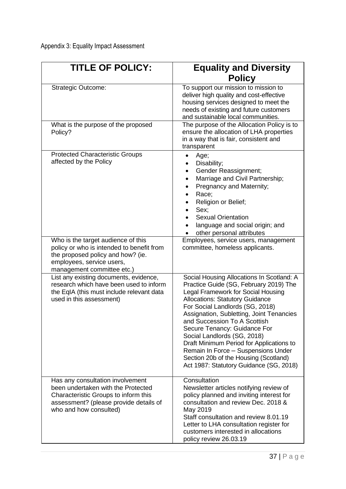| <b>TITLE OF POLICY:</b>                                                                                                                                                            | <b>Equality and Diversity</b><br><b>Policy</b>                                                                                                                                                                                                                                                                                                                                                                                                                                                                           |
|------------------------------------------------------------------------------------------------------------------------------------------------------------------------------------|--------------------------------------------------------------------------------------------------------------------------------------------------------------------------------------------------------------------------------------------------------------------------------------------------------------------------------------------------------------------------------------------------------------------------------------------------------------------------------------------------------------------------|
| <b>Strategic Outcome:</b>                                                                                                                                                          | To support our mission to mission to<br>deliver high quality and cost-effective<br>housing services designed to meet the<br>needs of existing and future customers<br>and sustainable local communities.                                                                                                                                                                                                                                                                                                                 |
| What is the purpose of the proposed<br>Policy?                                                                                                                                     | The purpose of the Allocation Policy is to<br>ensure the allocation of LHA properties<br>in a way that is fair, consistent and<br>transparent                                                                                                                                                                                                                                                                                                                                                                            |
| <b>Protected Characteristic Groups</b><br>affected by the Policy                                                                                                                   | Age;<br>Disability;<br>Gender Reassignment;<br>٠<br>Marriage and Civil Partnership;<br>Pregnancy and Maternity;<br>Race;<br>Religion or Belief;<br>Sex;<br><b>Sexual Orientation</b><br>language and social origin; and<br>other personal attributes                                                                                                                                                                                                                                                                     |
| Who is the target audience of this<br>policy or who is intended to benefit from<br>the proposed policy and how? (ie.<br>employees, service users,<br>management committee etc.)    | Employees, service users, management<br>committee, homeless applicants.                                                                                                                                                                                                                                                                                                                                                                                                                                                  |
| List any existing documents, evidence,<br>research which have been used to inform<br>the EqIA (this must include relevant data<br>used in this assessment)                         | Social Housing Allocations In Scotland: A<br>Practice Guide (SG, February 2019) The<br>Legal Framework for Social Housing<br><b>Allocations: Statutory Guidance</b><br>For Social Landlords (SG, 2018)<br>Assignation, Subletting, Joint Tenancies<br>and Succession To A Scottish<br>Secure Tenancy: Guidance For<br>Social Landlords (SG, 2018)<br>Draft Minimum Period for Applications to<br>Remain In Force - Suspensions Under<br>Section 20b of the Housing (Scotland)<br>Act 1987: Statutory Guidance (SG, 2018) |
| Has any consultation involvement<br>been undertaken with the Protected<br>Characteristic Groups to inform this<br>assessment? (please provide details of<br>who and how consulted) | Consultation<br>Newsletter articles notifying review of<br>policy planned and inviting interest for<br>consultation and review Dec. 2018 &<br>May 2019<br>Staff consultation and review 8.01.19<br>Letter to LHA consultation register for<br>customers interested in allocations<br>policy review 26.03.19                                                                                                                                                                                                              |